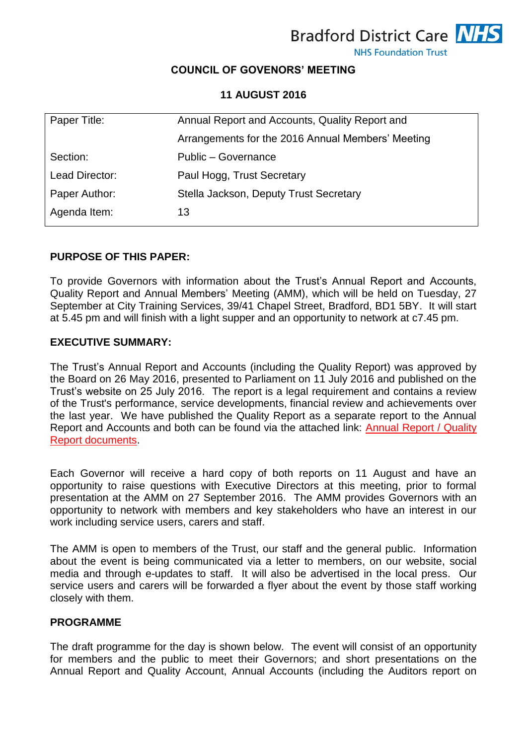**Bradford District Care NHS** 



# **COUNCIL OF GOVENORS' MEETING**

**11 AUGUST 2016**

| Paper Title:   | Annual Report and Accounts, Quality Report and    |
|----------------|---------------------------------------------------|
|                | Arrangements for the 2016 Annual Members' Meeting |
| Section:       | Public - Governance                               |
| Lead Director: | Paul Hogg, Trust Secretary                        |
| Paper Author:  | Stella Jackson, Deputy Trust Secretary            |
| Agenda Item:   | 13                                                |

## **PURPOSE OF THIS PAPER:**

To provide Governors with information about the Trust's Annual Report and Accounts, Quality Report and Annual Members' Meeting (AMM), which will be held on Tuesday, 27 September at City Training Services, 39/41 Chapel Street, Bradford, BD1 5BY. It will start at 5.45 pm and will finish with a light supper and an opportunity to network at c7.45 pm.

### **EXECUTIVE SUMMARY:**

The Trust's Annual Report and Accounts (including the Quality Report) was approved by the Board on 26 May 2016, presented to Parliament on 11 July 2016 and published on the Trust's website on 25 July 2016. The report is a legal requirement and contains a review of the Trust's performance, service developments, financial review and achievements over the last year. We have published the Quality Report as a separate report to the Annual Report and Accounts and both can be found via the attached link: [Annual Report / Quality](http://www.bdct.nhs.uk/our-publications)  [Report documents.](http://www.bdct.nhs.uk/our-publications)

Each Governor will receive a hard copy of both reports on 11 August and have an opportunity to raise questions with Executive Directors at this meeting, prior to formal presentation at the AMM on 27 September 2016. The AMM provides Governors with an opportunity to network with members and key stakeholders who have an interest in our work including service users, carers and staff.

The AMM is open to members of the Trust, our staff and the general public. Information about the event is being communicated via a letter to members, on our website, social media and through e-updates to staff. It will also be advertised in the local press. Our service users and carers will be forwarded a flyer about the event by those staff working closely with them.

### **PROGRAMME**

The draft programme for the day is shown below. The event will consist of an opportunity for members and the public to meet their Governors; and short presentations on the Annual Report and Quality Account, Annual Accounts (including the Auditors report on